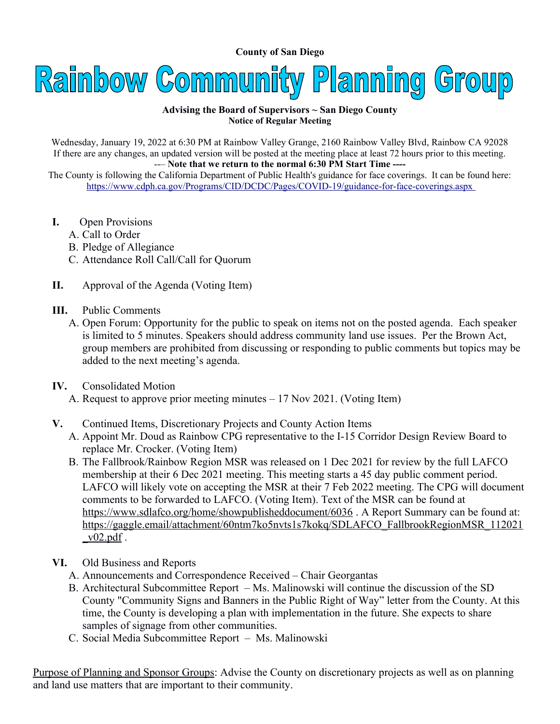**County of San Diego** 



## **Advising the Board of Supervisors ~ San Diego County Notice of Regular Meeting**

Wednesday, January 19, 2022 at 6:30 PM at Rainbow Valley Grange, 2160 Rainbow Valley Blvd, Rainbow CA 92028 If there are any changes, an updated version will be posted at the meeting place at least 72 hours prior to this meeting. --– **Note that we return to the normal 6:30 PM Start Time ----** 

The County is following the California Department of Public Health's guidance for face coverings. It can be found here: <https://www.cdph.ca.gov/Programs/CID/DCDC/Pages/COVID-19/guidance-for-face-coverings.aspx>

- **I.** Open Provisions
	- A. Call to Order
	- B. Pledge of Allegiance
	- C. Attendance Roll Call/Call for Quorum
- **II.** Approval of the Agenda (Voting Item)
- **III.** Public Comments
	- A. Open Forum: Opportunity for the public to speak on items not on the posted agenda. Each speaker is limited to 5 minutes. Speakers should address community land use issues. Per the Brown Act, group members are prohibited from discussing or responding to public comments but topics may be added to the next meeting's agenda.
- **IV.** Consolidated Motion
	- A. Request to approve prior meeting minutes 17 Nov 2021. (Voting Item)
- **V.** Continued Items, Discretionary Projects and County Action Items
	- A. Appoint Mr. Doud as Rainbow CPG representative to the I-15 Corridor Design Review Board to replace Mr. Crocker. (Voting Item)
	- B. The Fallbrook/Rainbow Region MSR was released on 1 Dec 2021 for review by the full LAFCO membership at their 6 Dec 2021 meeting. This meeting starts a 45 day public comment period. LAFCO will likely vote on accepting the MSR at their 7 Feb 2022 meeting. The CPG will document comments to be forwarded to LAFCO. (Voting Item). Text of the MSR can be found at <https://www.sdlafco.org/home/showpublisheddocument/6036>. A Report Summary can be found at: [https://gaggle.email/attachment/60ntm7ko5nvts1s7kokq/SDLAFCO\\_FallbrookRegionMSR\\_112021](https://gaggle.email/attachment/60ntm7ko5nvts1s7kokq/SDLAFCO_FallbrookRegionMSR_112021_v02.pdf)  $\frac{\text{v02.pdf}}{2}$ .
- **VI.** Old Business and Reports
	- A. Announcements and Correspondence Received Chair Georgantas
	- B. Architectural Subcommittee Report Ms. Malinowski will continue the discussion of the SD County "Community Signs and Banners in the Public Right of Way" letter from the County. At this time, the County is developing a plan with implementation in the future. She expects to share samples of signage from other communities.
	- C. Social Media Subcommittee Report Ms. Malinowski

Purpose of Planning and Sponsor Groups: Advise the County on discretionary projects as well as on planning and land use matters that are important to their community.